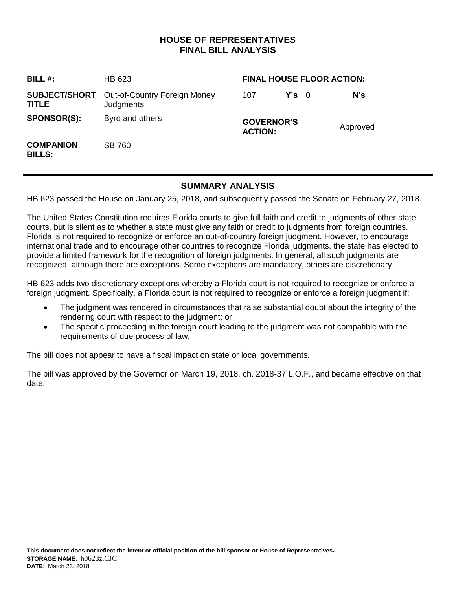## **HOUSE OF REPRESENTATIVES FINAL BILL ANALYSIS**

| <b>BILL#:</b>                     | HB 623                                                         | <b>FINAL HOUSE FLOOR ACTION:</b>    |               |  |          |
|-----------------------------------|----------------------------------------------------------------|-------------------------------------|---------------|--|----------|
| TITLE                             | <b>SUBJECT/SHORT</b> Out-of-Country Foreign Money<br>Judgments | 107                                 | $Y's \quad 0$ |  | N's      |
| <b>SPONSOR(S):</b>                | Byrd and others                                                | <b>GOVERNOR'S</b><br><b>ACTION:</b> |               |  | Approved |
| <b>COMPANION</b><br><b>BILLS:</b> | <b>SB 760</b>                                                  |                                     |               |  |          |

## **SUMMARY ANALYSIS**

HB 623 passed the House on January 25, 2018, and subsequently passed the Senate on February 27, 2018.

The United States Constitution requires Florida courts to give full faith and credit to judgments of other state courts, but is silent as to whether a state must give any faith or credit to judgments from foreign countries. Florida is not required to recognize or enforce an out-of-country foreign judgment. However, to encourage international trade and to encourage other countries to recognize Florida judgments, the state has elected to provide a limited framework for the recognition of foreign judgments. In general, all such judgments are recognized, although there are exceptions. Some exceptions are mandatory, others are discretionary.

HB 623 adds two discretionary exceptions whereby a Florida court is not required to recognize or enforce a foreign judgment. Specifically, a Florida court is not required to recognize or enforce a foreign judgment if:

- The judgment was rendered in circumstances that raise substantial doubt about the integrity of the rendering court with respect to the judgment; or
- The specific proceeding in the foreign court leading to the judgment was not compatible with the requirements of due process of law.

The bill does not appear to have a fiscal impact on state or local governments.

The bill was approved by the Governor on March 19, 2018, ch. 2018-37 L.O.F., and became effective on that date.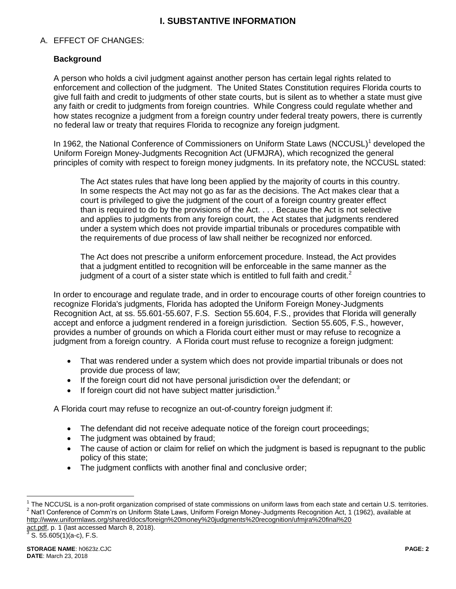# **I. SUBSTANTIVE INFORMATION**

### A. EFFECT OF CHANGES:

### **Background**

A person who holds a civil judgment against another person has certain legal rights related to enforcement and collection of the judgment. The United States Constitution requires Florida courts to give full faith and credit to judgments of other state courts, but is silent as to whether a state must give any faith or credit to judgments from foreign countries. While Congress could regulate whether and how states recognize a judgment from a foreign country under federal treaty powers, there is currently no federal law or treaty that requires Florida to recognize any foreign judgment.

In 1962, the National Conference of Commissioners on Uniform State Laws (NCCUSL)<sup>1</sup> developed the Uniform Foreign Money-Judgments Recognition Act (UFMJRA), which recognized the general principles of comity with respect to foreign money judgments. In its prefatory note, the NCCUSL stated:

The Act states rules that have long been applied by the majority of courts in this country. In some respects the Act may not go as far as the decisions. The Act makes clear that a court is privileged to give the judgment of the court of a foreign country greater effect than is required to do by the provisions of the Act. . . . Because the Act is not selective and applies to judgments from any foreign court, the Act states that judgments rendered under a system which does not provide impartial tribunals or procedures compatible with the requirements of due process of law shall neither be recognized nor enforced.

The Act does not prescribe a uniform enforcement procedure. Instead, the Act provides that a judgment entitled to recognition will be enforceable in the same manner as the judgment of a court of a sister state which is entitled to full faith and credit. $2$ 

In order to encourage and regulate trade, and in order to encourage courts of other foreign countries to recognize Florida's judgments, Florida has adopted the Uniform Foreign Money-Judgments Recognition Act, at ss. 55.601-55.607, F.S. Section 55.604, F.S., provides that Florida will generally accept and enforce a judgment rendered in a foreign jurisdiction. Section 55.605, F.S., however, provides a number of grounds on which a Florida court either must or may refuse to recognize a judgment from a foreign country. A Florida court must refuse to recognize a foreign judgment:

- That was rendered under a system which does not provide impartial tribunals or does not provide due process of law;
- If the foreign court did not have personal jurisdiction over the defendant; or
- If foreign court did not have subject matter jurisdiction.<sup>3</sup>

A Florida court may refuse to recognize an out-of-country foreign judgment if:

- The defendant did not receive adequate notice of the foreign court proceedings;
- The judgment was obtained by fraud;
- The cause of action or claim for relief on which the judgment is based is repugnant to the public policy of this state;
- The judgment conflicts with another final and conclusive order;

act.pdf, p. 1 (last accessed March 8, 2018).<br>3 S. EE COE(1)(2 s), F. S. S. 55.605(1)(a-c), F.S.

 $\overline{a}$ 

 $1$  The NCCUSL is a non-profit organization comprised of state commissions on uniform laws from each state and certain U.S. territories. <sup>2</sup> Nat'l Conference of Comm'rs on Uniform State Laws, Uniform Foreign Money-Judgments Recognition Act, 1 (1962), available at http://www.uniformlaws.org/shared/docs/foreign%20money%20judgments%20recognition/ufmjra%20final%20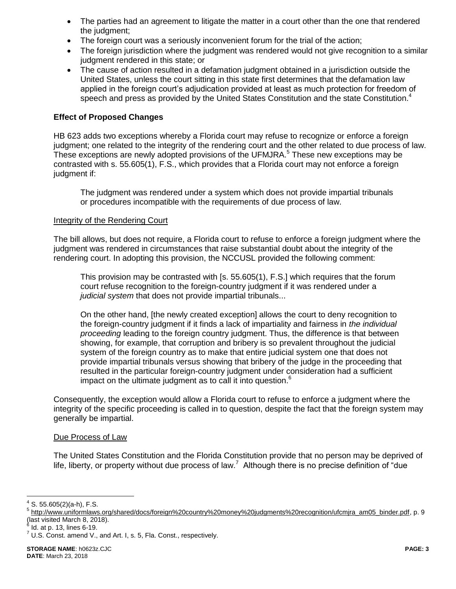- The parties had an agreement to litigate the matter in a court other than the one that rendered the judgment;
- The foreign court was a seriously inconvenient forum for the trial of the action;
- The foreign jurisdiction where the judgment was rendered would not give recognition to a similar judgment rendered in this state; or
- The cause of action resulted in a defamation judgment obtained in a jurisdiction outside the United States, unless the court sitting in this state first determines that the defamation law applied in the foreign court's adjudication provided at least as much protection for freedom of speech and press as provided by the United States Constitution and the state Constitution.<sup>4</sup>

#### **Effect of Proposed Changes**

HB 623 adds two exceptions whereby a Florida court may refuse to recognize or enforce a foreign judgment; one related to the integrity of the rendering court and the other related to due process of law. These exceptions are newly adopted provisions of the UFMJRA.<sup>5</sup> These new exceptions may be contrasted with s. 55.605(1), F.S., which provides that a Florida court may not enforce a foreign judgment if:

The judgment was rendered under a system which does not provide impartial tribunals or procedures incompatible with the requirements of due process of law.

#### Integrity of the Rendering Court

The bill allows, but does not require, a Florida court to refuse to enforce a foreign judgment where the judgment was rendered in circumstances that raise substantial doubt about the integrity of the rendering court. In adopting this provision, the NCCUSL provided the following comment:

This provision may be contrasted with [s. 55.605(1), F.S.] which requires that the forum court refuse recognition to the foreign-country judgment if it was rendered under a *judicial system* that does not provide impartial tribunals...

On the other hand, [the newly created exception] allows the court to deny recognition to the foreign-country judgment if it finds a lack of impartiality and fairness in *the individual proceeding* leading to the foreign country judgment. Thus, the difference is that between showing, for example, that corruption and bribery is so prevalent throughout the judicial system of the foreign country as to make that entire judicial system one that does not provide impartial tribunals versus showing that bribery of the judge in the proceeding that resulted in the particular foreign-country judgment under consideration had a sufficient impact on the ultimate judgment as to call it into question. $6$ 

Consequently, the exception would allow a Florida court to refuse to enforce a judgment where the integrity of the specific proceeding is called in to question, despite the fact that the foreign system may generally be impartial.

#### Due Process of Law

The United States Constitution and the Florida Constitution provide that no person may be deprived of life, liberty, or property without due process of law.<sup>7</sup> Although there is no precise definition of "due

 $\overline{a}$ 

 $4$  S. 55.605(2)(a-h), F.S.

<sup>&</sup>lt;sup>5</sup> http://www.uniformlaws.org/shared/docs/foreign%20country%20money%20judgments%20recognition/ufcmjra\_am05\_binder.pdf, p. 9 (last visited March 8, 2018).

 $^6$  Id. at p. 13, lines 6-19.

 $^7$  U.S. Const. amend V., and Art. I, s. 5, Fla. Const., respectively.